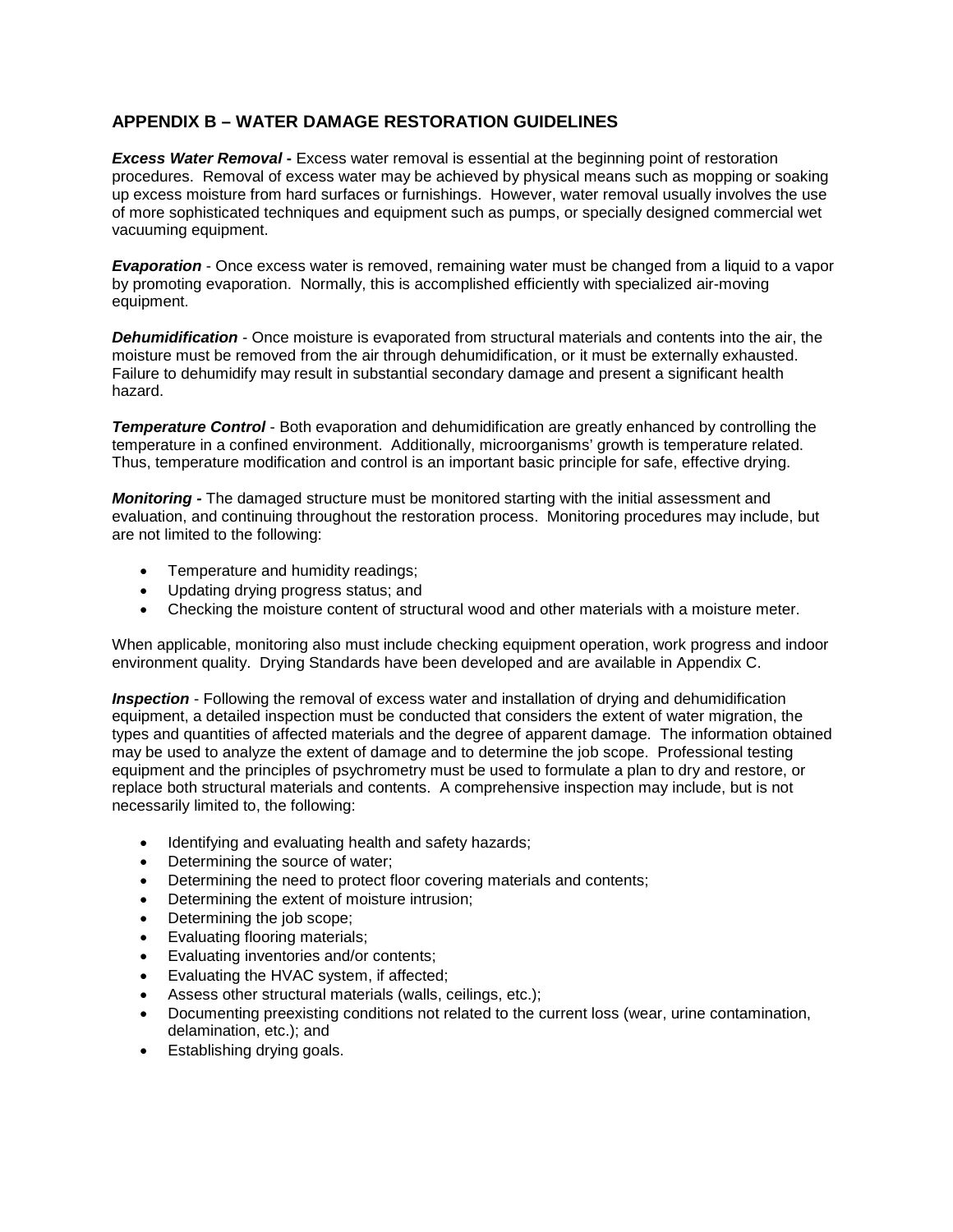## **APPENDIX B – WATER DAMAGE RESTORATION GUIDELINES**

*Excess Water Removal* **-** Excess water removal is essential at the beginning point of restoration procedures. Removal of excess water may be achieved by physical means such as mopping or soaking up excess moisture from hard surfaces or furnishings. However, water removal usually involves the use of more sophisticated techniques and equipment such as pumps, or specially designed commercial wet vacuuming equipment.

*Evaporation* - Once excess water is removed, remaining water must be changed from a liquid to a vapor by promoting evaporation. Normally, this is accomplished efficiently with specialized air-moving equipment.

*Dehumidification -* Once moisture is evaporated from structural materials and contents into the air, the moisture must be removed from the air through dehumidification, or it must be externally exhausted. Failure to dehumidify may result in substantial secondary damage and present a significant health hazard.

**Temperature Control** - Both evaporation and dehumidification are greatly enhanced by controlling the temperature in a confined environment. Additionally, microorganisms' growth is temperature related. Thus, temperature modification and control is an important basic principle for safe, effective drying.

*Monitoring -* The damaged structure must be monitored starting with the initial assessment and evaluation, and continuing throughout the restoration process. Monitoring procedures may include, but are not limited to the following:

- Temperature and humidity readings;
- Updating drying progress status; and
- Checking the moisture content of structural wood and other materials with a moisture meter.

When applicable, monitoring also must include checking equipment operation, work progress and indoor environment quality. Drying Standards have been developed and are available in Appendix C.

*Inspection* - Following the removal of excess water and installation of drying and dehumidification equipment, a detailed inspection must be conducted that considers the extent of water migration, the types and quantities of affected materials and the degree of apparent damage. The information obtained may be used to analyze the extent of damage and to determine the job scope. Professional testing equipment and the principles of psychrometry must be used to formulate a plan to dry and restore, or replace both structural materials and contents. A comprehensive inspection may include, but is not necessarily limited to, the following:

- Identifying and evaluating health and safety hazards;
- Determining the source of water;
- Determining the need to protect floor covering materials and contents;
- Determining the extent of moisture intrusion;
- Determining the job scope;
- Evaluating flooring materials;
- Evaluating inventories and/or contents;
- Evaluating the HVAC system, if affected;
- Assess other structural materials (walls, ceilings, etc.);
- Documenting preexisting conditions not related to the current loss (wear, urine contamination, delamination, etc.); and
- Establishing drying goals.